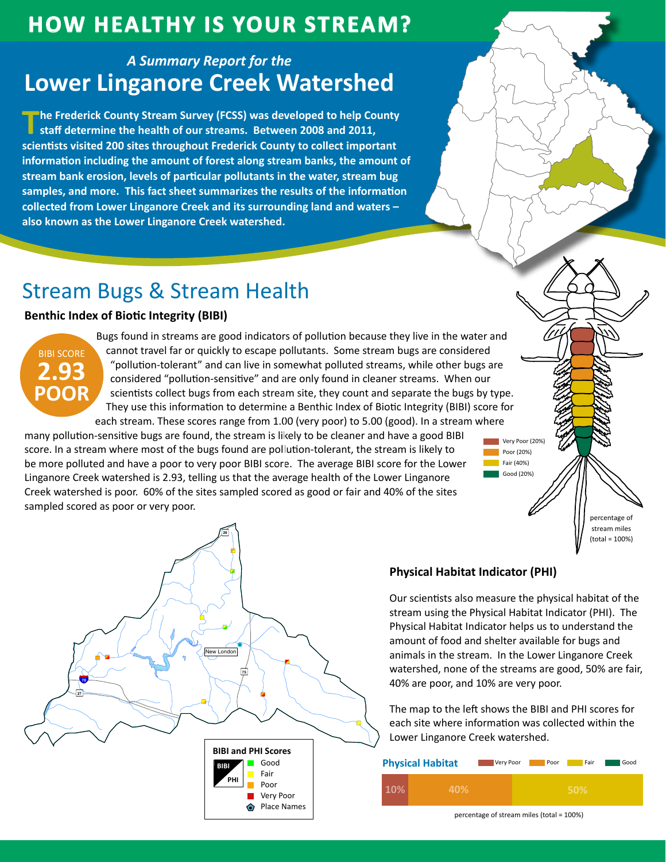## **How HealtHy is Your Stream?**

## *A Summary Report for the* **Lower Linganore Creek Watershed**

**The Frederick County Stream Survey (FCSS) was developed to help County staff determine the health of our streams. Between 2008 and 2011, scientists visited 200 sites throughout Frederick County to collect important information including the amount of forest along stream banks, the amount of stream bank erosion, levels of particular pollutants in the water, stream bug samples, and more. This fact sheet summarizes the results of the information collected from Lower Linganore Creek and its surrounding land and waters – also known as the Lower Linganore Creek watershed.**

# Stream Bugs & Stream Health

### **Benthic Index of Biotic Integrity (BIBI)**



Bugs found in streams are good indicators of pollution because they live in the water and cannot travel far or quickly to escape pollutants. Some stream bugs are considered "pollution-tolerant" and can live in somewhat polluted streams, while other bugs are considered "pollution-sensitive" and are only found in cleaner streams. When our scientists collect bugs from each stream site, they count and separate the bugs by type. They use this information to determine a Benthic Index of Biotic Integrity (BIBI) score for each stream. These scores range from 1.00 (very poor) to 5.00 (good). In a stream where

many pollution-sensitive bugs are found, the stream is likely to be cleaner and have a good BIBI score. In a stream where most of the bugs found are pollution-tolerant, the stream is likely to be more polluted and have a poor to very poor BIBI score. The average BIBI score for the Lower Linganore Creek watershed is 2.93, telling us that the average health of the Lower Linganore Creek watershed is poor. 60% of the sites sampled scored as good or fair and 40% of the sites campled corred as neer arrivening poor. sampled scored as poor or very poor.



### **Physical Habitat Indicator (PHI)**

" 40% are poor, and 10% are very poor. Our scientists also measure the physical habitat of the stream using the Physical Habitat Indicator (PHI). The Physical Habitat Indicator helps us to understand the amount of food and shelter available for bugs and animals in the stream. In the Lower Linganore Creek watershed, none of the streams are good, 50% are fair,

Very Poor (20%) Poor (20%) Fair (40%) Good (20%)

> percentage of stream miles (total = 100%)

Lower Linganore Creek watershed. The map to the left shows the BIBI and PHI scores for each site where information was collected within the

| <b>Physical Habitat</b> | Very Poor | Poor | Fair | Good |
|-------------------------|-----------|------|------|------|
| 40%                     |           |      | 50%  |      |

percentage of stream miles (total = 100%)